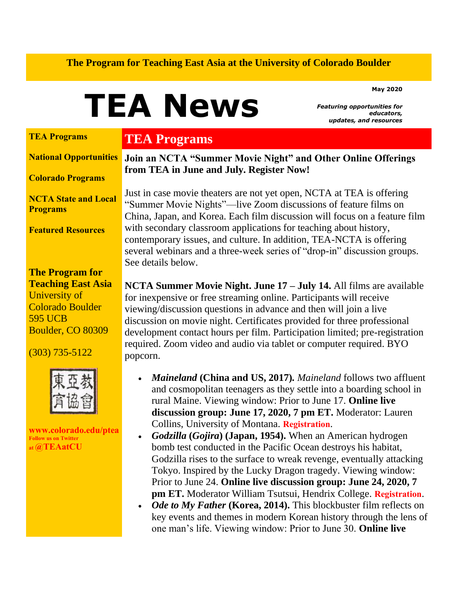#### **The Program for Teaching East Asia at the University of Colorado Boulder**

**May 2020**

# **TEA News**

*Featuring opportunities for educators, updates, and resources*

#### **[TEA Programs](https://us14.admin.mailchimp.com/campaigns/preview-content-html?id=7856902#TEAProg)**

#### **[National Opportunities](https://us14.admin.mailchimp.com/campaigns/preview-content-html?id=7856902#natl)**

**[Colorado Programs](https://us14.admin.mailchimp.com/campaigns/preview-content-html?id=7856902#colo)**

**[NCTA State and Local](https://us14.admin.mailchimp.com/campaigns/preview-content-html?id=7856902#local)  [Programs](https://us14.admin.mailchimp.com/campaigns/preview-content-html?id=7856902#local)**

**[Featured Resources](https://us14.admin.mailchimp.com/campaigns/preview-content-html?id=7856902#FR)**

**The Program for Teaching East Asia** University of Colorado Boulder 595 UCB Boulder, CO 80309

(303) 735-5122



**[www.colorado.edu/ptea](http://www.colorado.edu/cas/tea) Follow us on Twitter at [@TEAatCU](https://twitter.com/TEAatCU)**

### **TEA Programs**

**Join an NCTA "Summer Movie Night" and Other Online Offerings from TEA in June and July. Register Now!**

Just in case movie theaters are not yet open, NCTA at TEA is offering "Summer Movie Nights"—live Zoom discussions of feature films on China, Japan, and Korea. Each film discussion will focus on a feature film with secondary classroom applications for teaching about history, contemporary issues, and culture. In addition, TEA-NCTA is offering several webinars and a three-week series of "drop-in" discussion groups. See details below.

**NCTA Summer Movie Night. June 17 – July 14.** All films are available for inexpensive or free streaming online. Participants will receive viewing/discussion questions in advance and then will join a live discussion on movie night. Certificates provided for three professional development contact hours per film. Participation limited; pre-registration required. Zoom video and audio via tablet or computer required. BYO popcorn.

- *Maineland* **(China and US, 2017)***. Maineland* follows two affluent and cosmopolitan teenagers as they settle into a boarding school in rural Maine. Viewing window: Prior to June 17. **Online live discussion group: June 17, 2020, 7 pm ET.** Moderator: Lauren Collins, University of Montana. **[Registration](https://www.colorado.edu/ptea/content/tea-ncta-summer-movie-night-maineland-2017)**.
- *Godzilla* **(***Gojira***) (Japan, 1954).** When an American hydrogen bomb test conducted in the Pacific Ocean destroys his habitat, Godzilla rises to the surface to wreak revenge, eventually attacking Tokyo. Inspired by the Lucky Dragon tragedy. Viewing window: Prior to June 24. **Online live discussion group: June 24, 2020, 7 pm ET.** Moderator William Tsutsui, Hendrix College. **[Registration](https://www.colorado.edu/ptea/content/tea-ncta-summer-movie-night-godzilla-gojira-1954)**.
- *Ode to My Father* (Korea, 2014). This blockbuster film reflects on key events and themes in modern Korean history through the lens of one man's life. Viewing window: Prior to June 30. **Online live**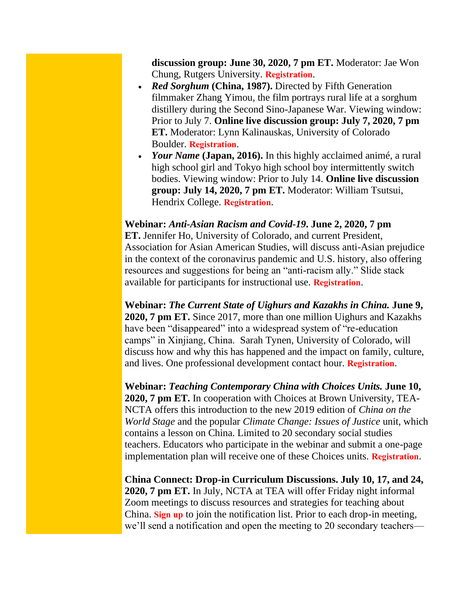**discussion group: June 30, 2020, 7 pm ET.** Moderator: Jae Won Chung, Rutgers University. **[Registration](https://www.colorado.edu/ptea/content/tea-ncta-summer-movie-night-ode-my-father-2014)**.

- *Red Sorghum* **(China, 1987).** Directed by Fifth Generation filmmaker Zhang Yimou, the film portrays rural life at a sorghum distillery during the Second Sino-Japanese War. Viewing window: Prior to July 7. **Online live discussion group: July 7, 2020, 7 pm ET.** Moderator: Lynn Kalinauskas, University of Colorado Boulder. **[Registration](https://www.colorado.edu/ptea/content/tea-ncta-summer-movie-night-red-sorghum-1987)**.
- *Your Name* (Japan, 2016). In this highly acclaimed animé, a rural high school girl and Tokyo high school boy intermittently switch bodies. Viewing window: Prior to July 14. **Online live discussion group: July 14, 2020, 7 pm ET.** Moderator: William Tsutsui, Hendrix College. **[Registration](https://www.colorado.edu/ptea/content/tea-ncta-summer-movie-night-your-name-2016)**.

#### **Webinar:** *Anti-Asian Racism and Covid-19***. June 2, 2020, 7 pm**

**ET.** Jennifer Ho, University of Colorado, and current President, Association for Asian American Studies, will discuss anti-Asian prejudice in the context of the coronavirus pandemic and U.S. history, also offering resources and suggestions for being an "anti-racism ally." Slide stack available for participants for instructional use. **[Registration](http://www.colorado.edu/ptea/content/discrimination)**.

**Webinar:** *The Current State of Uighurs and Kazakhs in China.* **June 9, 2020, 7 pm ET.** Since 2017, more than one million Uighurs and Kazakhs have been "disappeared" into a widespread system of "re-education" camps" in Xinjiang, China. Sarah Tynen, University of Colorado, will discuss how and why this has happened and the impact on family, culture, and lives. One professional development contact hour. **[Registration](https://www.colorado.edu/ptea/content/current-state-uighurs-and-kazakhs-china-webinar)**.

**Webinar:** *Teaching Contemporary China with Choices Units.* **June 10, 2020, 7 pm ET.** In cooperation with Choices at Brown University, TEA-NCTA offers this introduction to the new 2019 edition of *China on the World Stage* and the popular *Climate Change: Issues of Justice* unit, which contains a lesson on China. Limited to 20 secondary social studies teachers. Educators who participate in the webinar and submit a one-page implementation plan will receive one of these Choices units. **[Registration](https://www.colorado.edu/ptea/content/ncta-webinar-get-know-choices-units-china)**.

**China Connect: Drop-in Curriculum Discussions. July 10, 17, and 24, 2020, 7 pm ET.** In July, NCTA at TEA will offer Friday night informal Zoom meetings to discuss resources and strategies for teaching about China. **[Sign up](https://www.colorado.edu/ptea/connecting-about-china)** to join the notification list. Prior to each drop-in meeting, we'll send a notification and open the meeting to 20 secondary teachers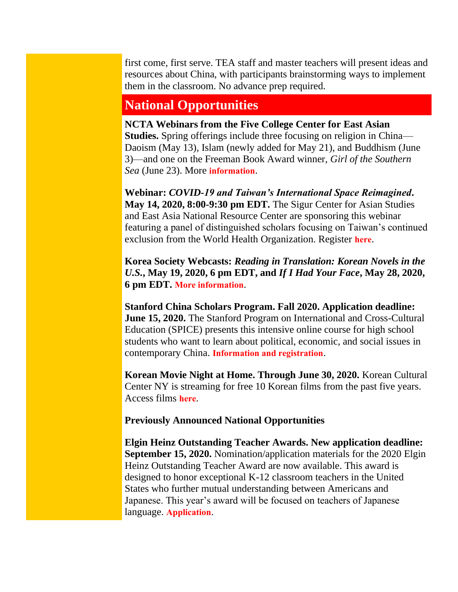first come, first serve. TEA staff and master teachers will present ideas and resources about China, with participants brainstorming ways to implement them in the classroom. No advance prep required.

## **National Opportunities**

**NCTA Webinars from the Five College Center for East Asian Studies.** Spring offerings include three focusing on religion in China— Daoism (May 13), Islam (newly added for May 21), and Buddhism (June 3)—and one on the Freeman Book Award winner, *Girl of the Southern Sea* (June 23). More **[information](https://www.fivecolleges.edu/fcceas/webinar)**.

**Webinar:** *COVID-19 and Taiwan's International Space Reimagined***. May 14, 2020, 8:00-9:30 pm EDT.** The Sigur Center for Asian Studies and East Asia National Resource Center are sponsoring this webinar featuring a panel of distinguished scholars focusing on Taiwan's continued exclusion from the World Health Organization. Register **[here](https://www.eventbrite.com/e/covid-19-taiwans-international-space-reimagined-registration-104337223444?ref=ecal)**.

**Korea Society Webcasts:** *Reading in Translation: Korean Novels in the U.S.***, May 19, 2020, 6 pm EDT, and** *If I Had Your Face***, May 28, 2020, 6 pm EDT. [More information](https://www.koreasociety.org/viewpoint2?start=6)**.

**Stanford China Scholars Program. Fall 2020. Application deadline: June 15, 2020.** The Stanford Program on International and Cross-Cultural Education (SPICE) presents this intensive online course for high school students who want to learn about political, economic, and social issues in contemporary China. **[Information and registration](https://spice.fsi.stanford.edu/fellowship/china-scholars-program)**.

**Korean Movie Night at Home. Through June 30, 2020.** Korean Cultural Center NY is streaming for free 10 Korean films from the past five years. Access films **[here](http://www.koreanculture.org/films/kmovieathome)**.

**Previously Announced National Opportunities**

**Elgin Heinz Outstanding Teacher Awards. New application deadline: September 15, 2020.** Nomination/application materials for the 2020 Elgin Heinz Outstanding Teacher Award are now available. This award is designed to honor exceptional K-12 classroom teachers in the United States who further mutual understanding between Americans and Japanese. This year's award will be focused on teachers of Japanese language. **[Application](https://www.engageasia.org/elgin-heinz-teacher-award)**.